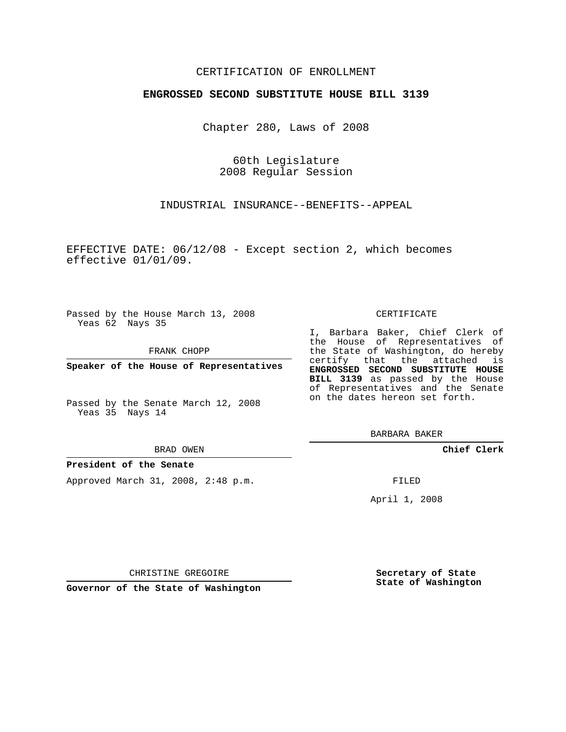## CERTIFICATION OF ENROLLMENT

### **ENGROSSED SECOND SUBSTITUTE HOUSE BILL 3139**

Chapter 280, Laws of 2008

60th Legislature 2008 Regular Session

INDUSTRIAL INSURANCE--BENEFITS--APPEAL

EFFECTIVE DATE: 06/12/08 - Except section 2, which becomes effective 01/01/09.

Passed by the House March 13, 2008 Yeas 62 Nays 35

FRANK CHOPP

Yeas 35 Nays 14

BRAD OWEN

## **President of the Senate**

Approved March 31, 2008, 2:48 p.m.

#### CERTIFICATE

I, Barbara Baker, Chief Clerk of the House of Representatives of the State of Washington, do hereby certify that the attached is **ENGROSSED SECOND SUBSTITUTE HOUSE BILL 3139** as passed by the House of Representatives and the Senate on the dates hereon set forth.

BARBARA BAKER

**Chief Clerk**

FILED

April 1, 2008

CHRISTINE GREGOIRE

**Governor of the State of Washington**

**Secretary of State State of Washington**

**Speaker of the House of Representatives**

Passed by the Senate March 12, 2008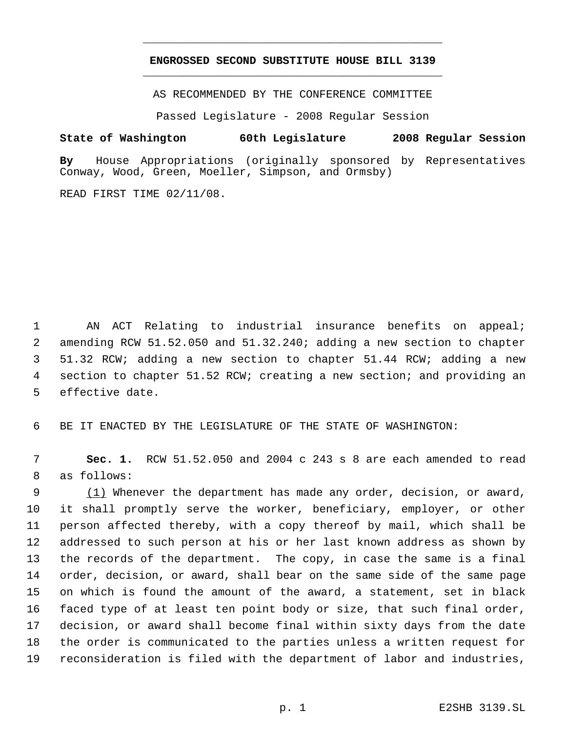# **ENGROSSED SECOND SUBSTITUTE HOUSE BILL 3139** \_\_\_\_\_\_\_\_\_\_\_\_\_\_\_\_\_\_\_\_\_\_\_\_\_\_\_\_\_\_\_\_\_\_\_\_\_\_\_\_\_\_\_\_\_

\_\_\_\_\_\_\_\_\_\_\_\_\_\_\_\_\_\_\_\_\_\_\_\_\_\_\_\_\_\_\_\_\_\_\_\_\_\_\_\_\_\_\_\_\_

AS RECOMMENDED BY THE CONFERENCE COMMITTEE

Passed Legislature - 2008 Regular Session

## **State of Washington 60th Legislature 2008 Regular Session**

**By** House Appropriations (originally sponsored by Representatives Conway, Wood, Green, Moeller, Simpson, and Ormsby)

READ FIRST TIME 02/11/08.

 AN ACT Relating to industrial insurance benefits on appeal; amending RCW 51.52.050 and 51.32.240; adding a new section to chapter 51.32 RCW; adding a new section to chapter 51.44 RCW; adding a new section to chapter 51.52 RCW; creating a new section; and providing an effective date.

BE IT ENACTED BY THE LEGISLATURE OF THE STATE OF WASHINGTON:

 **Sec. 1.** RCW 51.52.050 and 2004 c 243 s 8 are each amended to read as follows:

9 (1) Whenever the department has made any order, decision, or award, it shall promptly serve the worker, beneficiary, employer, or other person affected thereby, with a copy thereof by mail, which shall be addressed to such person at his or her last known address as shown by the records of the department. The copy, in case the same is a final order, decision, or award, shall bear on the same side of the same page on which is found the amount of the award, a statement, set in black faced type of at least ten point body or size, that such final order, decision, or award shall become final within sixty days from the date the order is communicated to the parties unless a written request for reconsideration is filed with the department of labor and industries,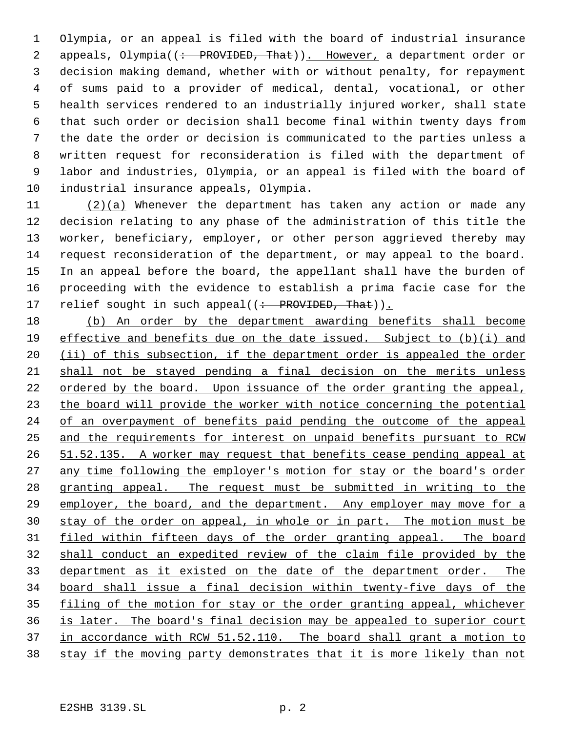Olympia, or an appeal is filed with the board of industrial insurance 2 appeals, Olympia((: PROVIDED, That)). However, a department order or decision making demand, whether with or without penalty, for repayment of sums paid to a provider of medical, dental, vocational, or other health services rendered to an industrially injured worker, shall state that such order or decision shall become final within twenty days from the date the order or decision is communicated to the parties unless a written request for reconsideration is filed with the department of labor and industries, Olympia, or an appeal is filed with the board of industrial insurance appeals, Olympia.

11 (2)(a) Whenever the department has taken any action or made any decision relating to any phase of the administration of this title the worker, beneficiary, employer, or other person aggrieved thereby may request reconsideration of the department, or may appeal to the board. In an appeal before the board, the appellant shall have the burden of proceeding with the evidence to establish a prima facie case for the 17 relief sought in such appeal((: PROVIDED, That)).

 (b) An order by the department awarding benefits shall become effective and benefits due on the date issued. Subject to (b)(i) and 20 (ii) of this subsection, if the department order is appealed the order shall not be stayed pending a final decision on the merits unless ordered by the board. Upon issuance of the order granting the appeal, the board will provide the worker with notice concerning the potential 24 of an overpayment of benefits paid pending the outcome of the appeal and the requirements for interest on unpaid benefits pursuant to RCW 26 51.52.135. A worker may request that benefits cease pending appeal at 27 any time following the employer's motion for stay or the board's order granting appeal. The request must be submitted in writing to the 29 employer, the board, and the department. Any employer may move for a 30 stay of the order on appeal, in whole or in part. The motion must be 31 filed within fifteen days of the order granting appeal. The board shall conduct an expedited review of the claim file provided by the department as it existed on the date of the department order. The board shall issue a final decision within twenty-five days of the 35 filing of the motion for stay or the order granting appeal, whichever is later. The board's final decision may be appealed to superior court in accordance with RCW 51.52.110. The board shall grant a motion to 38 stay if the moving party demonstrates that it is more likely than not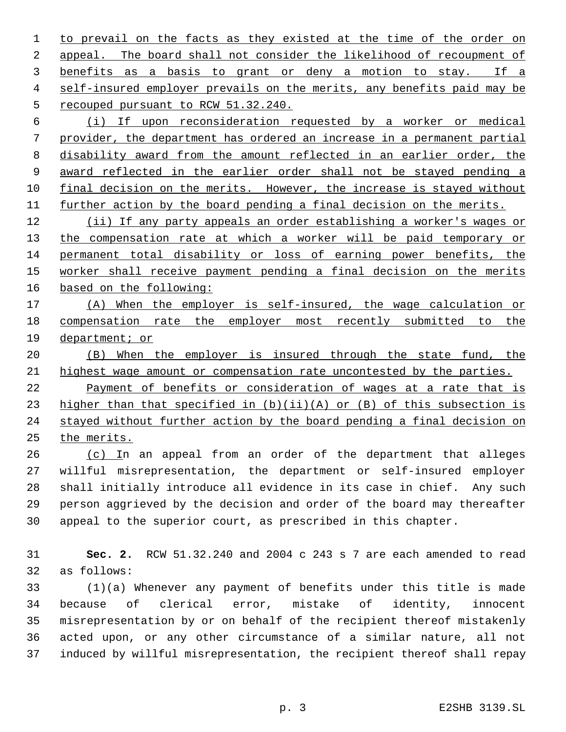1 to prevail on the facts as they existed at the time of the order on appeal. The board shall not consider the likelihood of recoupment of benefits as a basis to grant or deny a motion to stay. If a self-insured employer prevails on the merits, any benefits paid may be recouped pursuant to RCW 51.32.240.

 (i) If upon reconsideration requested by a worker or medical provider, the department has ordered an increase in a permanent partial disability award from the amount reflected in an earlier order, the award reflected in the earlier order shall not be stayed pending a final decision on the merits. However, the increase is stayed without further action by the board pending a final decision on the merits.

12 (ii) If any party appeals an order establishing a worker's wages or 13 the compensation rate at which a worker will be paid temporary or permanent total disability or loss of earning power benefits, the 15 worker shall receive payment pending a final decision on the merits based on the following:

 (A) When the employer is self-insured, the wage calculation or 18 compensation rate the employer most recently submitted to the department; or

 (B) When the employer is insured through the state fund, the highest wage amount or compensation rate uncontested by the parties.

 Payment of benefits or consideration of wages at a rate that is 23 higher than that specified in (b)(ii)(A) or (B) of this subsection is stayed without further action by the board pending a final decision on the merits.

26 (c) In an appeal from an order of the department that alleges willful misrepresentation, the department or self-insured employer shall initially introduce all evidence in its case in chief. Any such person aggrieved by the decision and order of the board may thereafter appeal to the superior court, as prescribed in this chapter.

 **Sec. 2.** RCW 51.32.240 and 2004 c 243 s 7 are each amended to read as follows:

 (1)(a) Whenever any payment of benefits under this title is made because of clerical error, mistake of identity, innocent misrepresentation by or on behalf of the recipient thereof mistakenly acted upon, or any other circumstance of a similar nature, all not induced by willful misrepresentation, the recipient thereof shall repay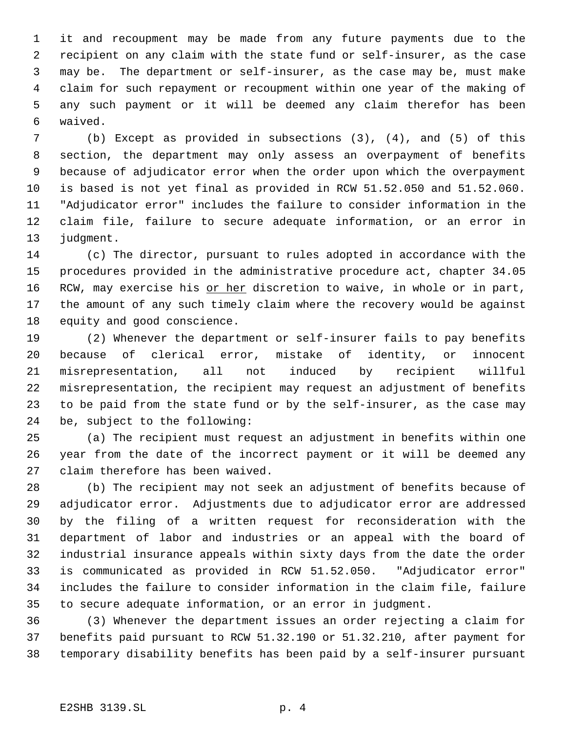it and recoupment may be made from any future payments due to the recipient on any claim with the state fund or self-insurer, as the case may be. The department or self-insurer, as the case may be, must make claim for such repayment or recoupment within one year of the making of any such payment or it will be deemed any claim therefor has been waived.

 (b) Except as provided in subsections (3), (4), and (5) of this section, the department may only assess an overpayment of benefits because of adjudicator error when the order upon which the overpayment is based is not yet final as provided in RCW 51.52.050 and 51.52.060. "Adjudicator error" includes the failure to consider information in the claim file, failure to secure adequate information, or an error in judgment.

 (c) The director, pursuant to rules adopted in accordance with the procedures provided in the administrative procedure act, chapter 34.05 16 RCW, may exercise his or her discretion to waive, in whole or in part, the amount of any such timely claim where the recovery would be against equity and good conscience.

 (2) Whenever the department or self-insurer fails to pay benefits because of clerical error, mistake of identity, or innocent misrepresentation, all not induced by recipient willful misrepresentation, the recipient may request an adjustment of benefits to be paid from the state fund or by the self-insurer, as the case may be, subject to the following:

 (a) The recipient must request an adjustment in benefits within one year from the date of the incorrect payment or it will be deemed any claim therefore has been waived.

 (b) The recipient may not seek an adjustment of benefits because of adjudicator error. Adjustments due to adjudicator error are addressed by the filing of a written request for reconsideration with the department of labor and industries or an appeal with the board of industrial insurance appeals within sixty days from the date the order is communicated as provided in RCW 51.52.050. "Adjudicator error" includes the failure to consider information in the claim file, failure to secure adequate information, or an error in judgment.

 (3) Whenever the department issues an order rejecting a claim for benefits paid pursuant to RCW 51.32.190 or 51.32.210, after payment for temporary disability benefits has been paid by a self-insurer pursuant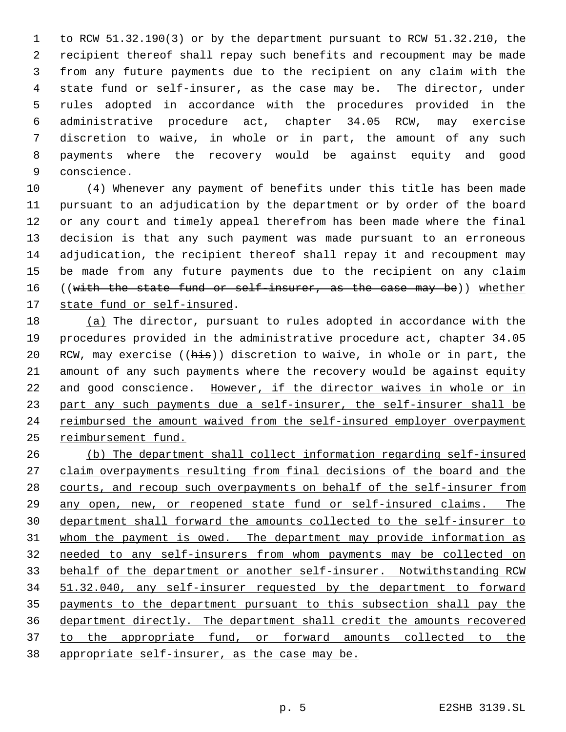to RCW 51.32.190(3) or by the department pursuant to RCW 51.32.210, the recipient thereof shall repay such benefits and recoupment may be made from any future payments due to the recipient on any claim with the state fund or self-insurer, as the case may be. The director, under rules adopted in accordance with the procedures provided in the administrative procedure act, chapter 34.05 RCW, may exercise discretion to waive, in whole or in part, the amount of any such payments where the recovery would be against equity and good conscience.

 (4) Whenever any payment of benefits under this title has been made pursuant to an adjudication by the department or by order of the board or any court and timely appeal therefrom has been made where the final decision is that any such payment was made pursuant to an erroneous adjudication, the recipient thereof shall repay it and recoupment may be made from any future payments due to the recipient on any claim 16 ((with the state fund or self-insurer, as the case may be)) whether 17 state fund or self-insured.

 (a) The director, pursuant to rules adopted in accordance with the procedures provided in the administrative procedure act, chapter 34.05 20 RCW, may exercise ((his)) discretion to waive, in whole or in part, the amount of any such payments where the recovery would be against equity 22 and good conscience. However, if the director waives in whole or in 23 part any such payments due a self-insurer, the self-insurer shall be reimbursed the amount waived from the self-insured employer overpayment reimbursement fund.

 (b) The department shall collect information regarding self-insured claim overpayments resulting from final decisions of the board and the courts, and recoup such overpayments on behalf of the self-insurer from any open, new, or reopened state fund or self-insured claims. The department shall forward the amounts collected to the self-insurer to whom the payment is owed. The department may provide information as needed to any self-insurers from whom payments may be collected on 33 behalf of the department or another self-insurer. Notwithstanding RCW 51.32.040, any self-insurer requested by the department to forward payments to the department pursuant to this subsection shall pay the department directly. The department shall credit the amounts recovered 37 to the appropriate fund, or forward amounts collected to the appropriate self-insurer, as the case may be.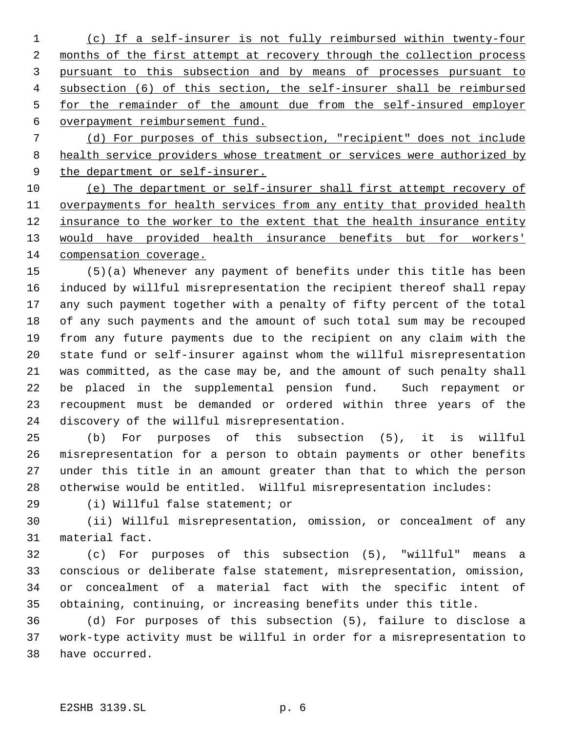(c) If a self-insurer is not fully reimbursed within twenty-four 2 months of the first attempt at recovery through the collection process pursuant to this subsection and by means of processes pursuant to subsection (6) of this section, the self-insurer shall be reimbursed for the remainder of the amount due from the self-insured employer overpayment reimbursement fund.

 (d) For purposes of this subsection, "recipient" does not include health service providers whose treatment or services were authorized by 9 the department or self-insurer.

 (e) The department or self-insurer shall first attempt recovery of overpayments for health services from any entity that provided health 12 insurance to the worker to the extent that the health insurance entity would have provided health insurance benefits but for workers' compensation coverage.

 (5)(a) Whenever any payment of benefits under this title has been induced by willful misrepresentation the recipient thereof shall repay any such payment together with a penalty of fifty percent of the total of any such payments and the amount of such total sum may be recouped from any future payments due to the recipient on any claim with the state fund or self-insurer against whom the willful misrepresentation was committed, as the case may be, and the amount of such penalty shall be placed in the supplemental pension fund. Such repayment or recoupment must be demanded or ordered within three years of the discovery of the willful misrepresentation.

 (b) For purposes of this subsection (5), it is willful misrepresentation for a person to obtain payments or other benefits under this title in an amount greater than that to which the person otherwise would be entitled. Willful misrepresentation includes:

(i) Willful false statement; or

 (ii) Willful misrepresentation, omission, or concealment of any material fact.

 (c) For purposes of this subsection (5), "willful" means a conscious or deliberate false statement, misrepresentation, omission, or concealment of a material fact with the specific intent of obtaining, continuing, or increasing benefits under this title.

 (d) For purposes of this subsection (5), failure to disclose a work-type activity must be willful in order for a misrepresentation to have occurred.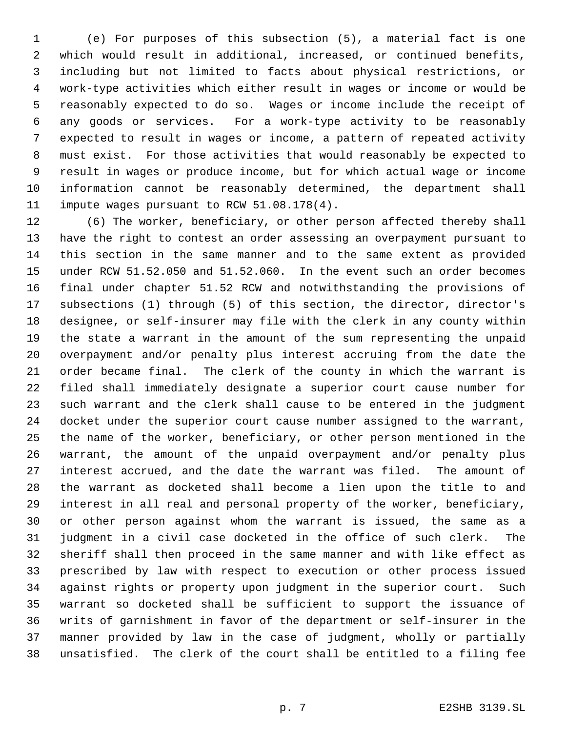(e) For purposes of this subsection (5), a material fact is one which would result in additional, increased, or continued benefits, including but not limited to facts about physical restrictions, or work-type activities which either result in wages or income or would be reasonably expected to do so. Wages or income include the receipt of any goods or services. For a work-type activity to be reasonably expected to result in wages or income, a pattern of repeated activity must exist. For those activities that would reasonably be expected to result in wages or produce income, but for which actual wage or income information cannot be reasonably determined, the department shall impute wages pursuant to RCW 51.08.178(4).

 (6) The worker, beneficiary, or other person affected thereby shall have the right to contest an order assessing an overpayment pursuant to this section in the same manner and to the same extent as provided under RCW 51.52.050 and 51.52.060. In the event such an order becomes final under chapter 51.52 RCW and notwithstanding the provisions of subsections (1) through (5) of this section, the director, director's designee, or self-insurer may file with the clerk in any county within the state a warrant in the amount of the sum representing the unpaid overpayment and/or penalty plus interest accruing from the date the order became final. The clerk of the county in which the warrant is filed shall immediately designate a superior court cause number for such warrant and the clerk shall cause to be entered in the judgment docket under the superior court cause number assigned to the warrant, the name of the worker, beneficiary, or other person mentioned in the warrant, the amount of the unpaid overpayment and/or penalty plus interest accrued, and the date the warrant was filed. The amount of the warrant as docketed shall become a lien upon the title to and interest in all real and personal property of the worker, beneficiary, or other person against whom the warrant is issued, the same as a judgment in a civil case docketed in the office of such clerk. The sheriff shall then proceed in the same manner and with like effect as prescribed by law with respect to execution or other process issued against rights or property upon judgment in the superior court. Such warrant so docketed shall be sufficient to support the issuance of writs of garnishment in favor of the department or self-insurer in the manner provided by law in the case of judgment, wholly or partially unsatisfied. The clerk of the court shall be entitled to a filing fee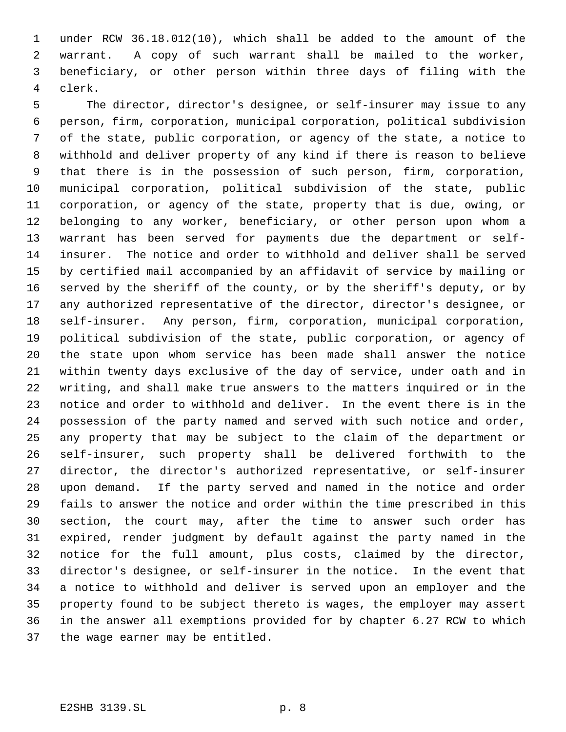under RCW 36.18.012(10), which shall be added to the amount of the warrant. A copy of such warrant shall be mailed to the worker, beneficiary, or other person within three days of filing with the clerk.

 The director, director's designee, or self-insurer may issue to any person, firm, corporation, municipal corporation, political subdivision of the state, public corporation, or agency of the state, a notice to withhold and deliver property of any kind if there is reason to believe that there is in the possession of such person, firm, corporation, municipal corporation, political subdivision of the state, public corporation, or agency of the state, property that is due, owing, or belonging to any worker, beneficiary, or other person upon whom a warrant has been served for payments due the department or self- insurer. The notice and order to withhold and deliver shall be served by certified mail accompanied by an affidavit of service by mailing or served by the sheriff of the county, or by the sheriff's deputy, or by any authorized representative of the director, director's designee, or self-insurer. Any person, firm, corporation, municipal corporation, political subdivision of the state, public corporation, or agency of the state upon whom service has been made shall answer the notice within twenty days exclusive of the day of service, under oath and in writing, and shall make true answers to the matters inquired or in the notice and order to withhold and deliver. In the event there is in the possession of the party named and served with such notice and order, any property that may be subject to the claim of the department or self-insurer, such property shall be delivered forthwith to the director, the director's authorized representative, or self-insurer upon demand. If the party served and named in the notice and order fails to answer the notice and order within the time prescribed in this section, the court may, after the time to answer such order has expired, render judgment by default against the party named in the notice for the full amount, plus costs, claimed by the director, director's designee, or self-insurer in the notice. In the event that a notice to withhold and deliver is served upon an employer and the property found to be subject thereto is wages, the employer may assert in the answer all exemptions provided for by chapter 6.27 RCW to which the wage earner may be entitled.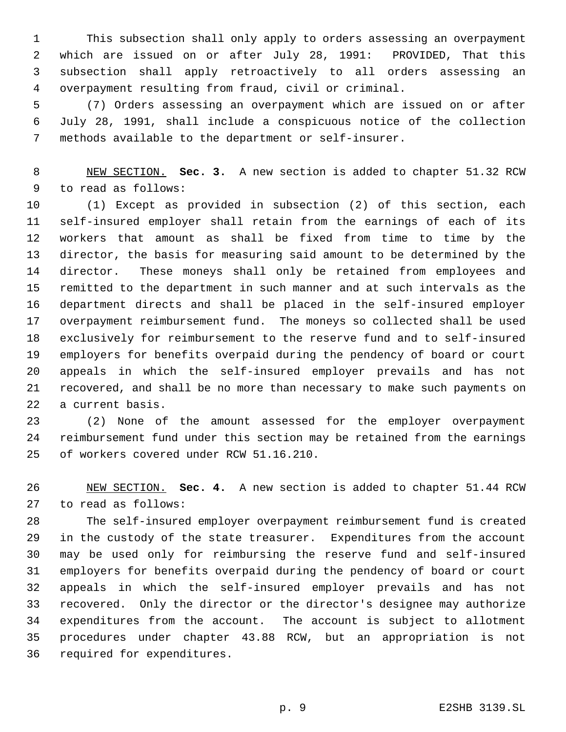This subsection shall only apply to orders assessing an overpayment which are issued on or after July 28, 1991: PROVIDED, That this subsection shall apply retroactively to all orders assessing an overpayment resulting from fraud, civil or criminal.

 (7) Orders assessing an overpayment which are issued on or after July 28, 1991, shall include a conspicuous notice of the collection methods available to the department or self-insurer.

 NEW SECTION. **Sec. 3.** A new section is added to chapter 51.32 RCW to read as follows:

 (1) Except as provided in subsection (2) of this section, each self-insured employer shall retain from the earnings of each of its workers that amount as shall be fixed from time to time by the director, the basis for measuring said amount to be determined by the director. These moneys shall only be retained from employees and remitted to the department in such manner and at such intervals as the department directs and shall be placed in the self-insured employer overpayment reimbursement fund. The moneys so collected shall be used exclusively for reimbursement to the reserve fund and to self-insured employers for benefits overpaid during the pendency of board or court appeals in which the self-insured employer prevails and has not recovered, and shall be no more than necessary to make such payments on a current basis.

 (2) None of the amount assessed for the employer overpayment reimbursement fund under this section may be retained from the earnings of workers covered under RCW 51.16.210.

 NEW SECTION. **Sec. 4.** A new section is added to chapter 51.44 RCW to read as follows:

 The self-insured employer overpayment reimbursement fund is created in the custody of the state treasurer. Expenditures from the account may be used only for reimbursing the reserve fund and self-insured employers for benefits overpaid during the pendency of board or court appeals in which the self-insured employer prevails and has not recovered. Only the director or the director's designee may authorize expenditures from the account. The account is subject to allotment procedures under chapter 43.88 RCW, but an appropriation is not required for expenditures.